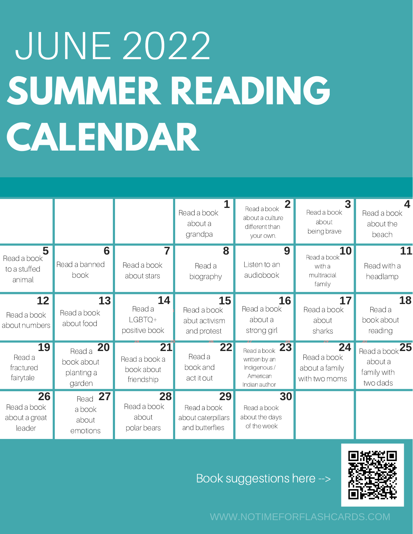## JUNE 2022 **SUMMER READING CALENDAR**

|                                               |                                                           |                                                 | Read a book<br>about a<br>grandpa                          | $\mathbf{2}$<br>Read a book<br>about a culture<br>different than<br>your own. | $\mathbf{3}$<br>Read a book<br>about<br>being brave         | Δ.<br>Read a book<br>about the<br>beach                |
|-----------------------------------------------|-----------------------------------------------------------|-------------------------------------------------|------------------------------------------------------------|-------------------------------------------------------------------------------|-------------------------------------------------------------|--------------------------------------------------------|
| 5<br>Read a book<br>to a stuffed<br>animal    | 6<br>Read a banned<br>book                                | 7<br>Read a book<br>about stars                 | 8<br>Read a<br>biography                                   | 9<br>Listen to an<br>audiobook                                                | <b>10</b><br>Read a book<br>with a<br>multiracial<br>family | 11<br>Read with a<br>headlamp                          |
| 12<br>Read a book<br>about numbers            | 13<br>Read a book<br>about food                           | 14<br>Read a<br>LGBTQ+<br>positive book         | 15<br>Read a book<br>abut activism<br>and protest          | <b>16</b><br>Read a book<br>about a<br>strong girl                            | 17<br>Read a book<br>about<br>sharks                        | 18<br>Read a<br>book about<br>reading                  |
| <b>19</b><br>Read a<br>fractured<br>fairytale | <b>20</b><br>Read a<br>book about<br>planting a<br>garden | 21<br>Read a book a<br>book about<br>friendship | 22<br>Read a<br>book and<br>act it out                     | Read a book 23<br>written by an<br>Indigenous/<br>American<br>Indian author   | 24<br>Read a book<br>about a family<br>with two moms        | Read a book $25$<br>about a<br>family with<br>two dads |
| 26<br>Read a book<br>about a great<br>leader  | 27<br>Read<br>a book<br>about<br>emotions                 | 28<br>Read a book<br>about<br>polar bears       | 29<br>Read a book<br>about caterpillars<br>and butterflies | 30<br>Read a book<br>about the days<br>of the week                            |                                                             |                                                        |

Book suggestions here -->



WWW.NOTIMEFORFLASHCARDS.COM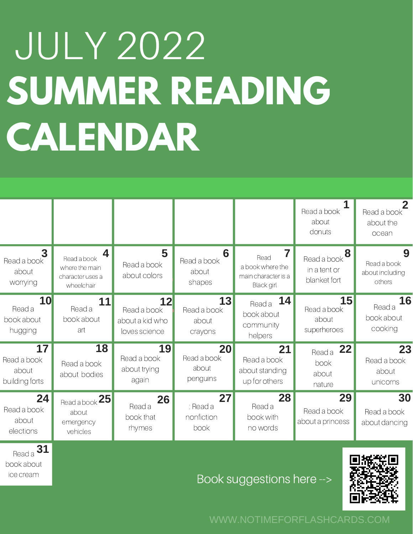## JULY 2022 **SUMMER READING CALENDAR**

|                                         |                                                                                     |                                                       |                                       |                                                                           | $\mathbf{1}$<br>Read a book<br>about<br>donuts                    | $\mathbf{2}$<br>Read a book<br>about the<br>ocean |
|-----------------------------------------|-------------------------------------------------------------------------------------|-------------------------------------------------------|---------------------------------------|---------------------------------------------------------------------------|-------------------------------------------------------------------|---------------------------------------------------|
| 3<br>Read a book<br>about<br>worrying   | $\boldsymbol{4}$<br>Read a book<br>where the main<br>character uses a<br>wheelchair | 5<br>Read a book<br>about colors                      | 6<br>Read a book<br>about<br>shapes   | 7<br>Read<br>a book where the<br>main character is a<br><b>Black</b> girl | $\text{Read a book}$ <sup>8</sup><br>in a tent or<br>blanket fort | 9<br>Read a book<br>about including<br>others     |
| 10<br>Read a<br>book about<br>hugging   | 11<br>Read a<br>book about<br>art                                                   | 12<br>Read a book<br>about a kid who<br>loves science | 13<br>Read a book<br>about<br>crayons | 14<br>Read a<br>book about<br>community<br>helpers                        | 15<br>Read a book<br>about<br>superheroes                         | 16<br>Read a<br>book about<br>cooking             |
| 17<br>Read a book<br>about              | 18<br>Read a book                                                                   | 19<br>Read a book<br>about trying                     | 20<br>Read a book<br>about            | 21<br>Read a book<br>about standing                                       | 22<br>Read a<br>book<br>about                                     | 23<br>Read a book<br>about                        |
| building forts                          | about bodies                                                                        | again                                                 | penguins                              | up for others                                                             | nature                                                            | unicorns                                          |
| 24<br>Read a book<br>about<br>elections | Read a book 25<br>about<br>emergency<br>vehicles                                    | 26<br>Read a<br>book that<br>rhymes                   | 27<br>: Read a<br>nonfiction<br>book  | 28<br>Read a<br>book with<br>no words                                     | 29<br>Read a book<br>about a princess                             | 30<br>Read a book<br>about dancing                |

WWW.NOTIMEFORFLASHCARDS.COM